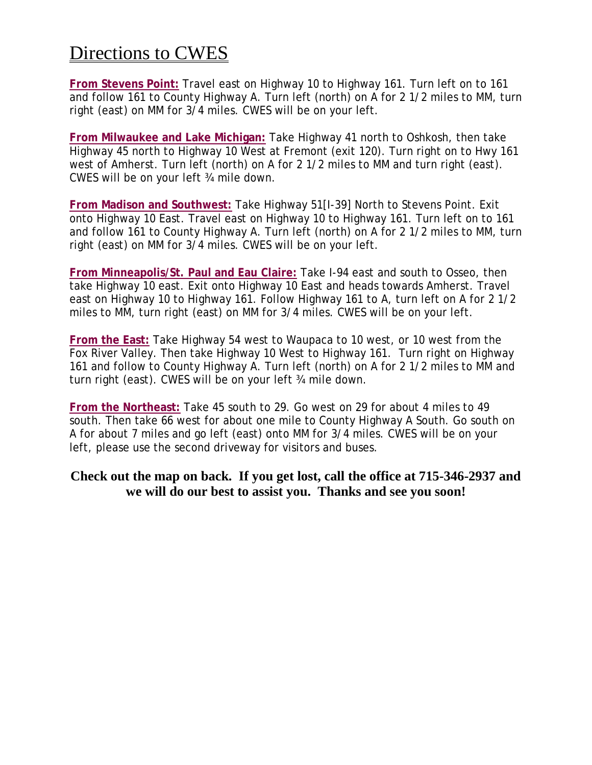## Directions to CWES

**From Stevens Point:** Travel east on Highway 10 to Highway 161. Turn left on to 161 and follow 161 to County Highway A. Turn left (north) on A for 2 1/2 miles to MM, turn right (east) on MM for 3/4 miles. CWES will be on your left.

**From Milwaukee and Lake Michigan:** Take Highway 41 north to Oshkosh, then take Highway 45 north to Highway 10 West at Fremont (exit 120). Turn right on to Hwy 161 west of Amherst. Turn left (north) on A for 2 1/2 miles to MM and turn right (east). CWES will be on your left ¾ mile down.

**From Madison and Southwest:** Take Highway 51[I-39] North to Stevens Point. Exit onto Highway 10 East. Travel east on Highway 10 to Highway 161. Turn left on to 161 and follow 161 to County Highway A. Turn left (north) on A for 2 1/2 miles to MM, turn right (east) on MM for 3/4 miles. CWES will be on your left.

**From Minneapolis/St. Paul and Eau Claire:** Take I-94 east and south to Osseo, then take Highway 10 east. Exit onto Highway 10 East and heads towards Amherst. Travel east on Highway 10 to Highway 161. Follow Highway 161 to A, turn left on A for 2 1/2 miles to MM, turn right (east) on MM for 3/4 miles. CWES will be on your left.

**From the East:** Take Highway 54 west to Waupaca to 10 west, or 10 west from the Fox River Valley. Then take Highway 10 West to Highway 161. Turn right on Highway 161 and follow to County Highway A. Turn left (north) on A for 2 1/2 miles to MM and turn right (east). CWES will be on your left ¾ mile down.

**From the Northeast:** Take 45 south to 29. Go west on 29 for about 4 miles to 49 south. Then take 66 west for about one mile to County Highway A South. Go south on A for about 7 miles and go left (east) onto MM for 3/4 miles. CWES will be on your left, please use the second driveway for visitors and buses.

## **Check out the map on back. If you get lost, call the office at 715-346-2937 and we will do our best to assist you. Thanks and see you soon!**